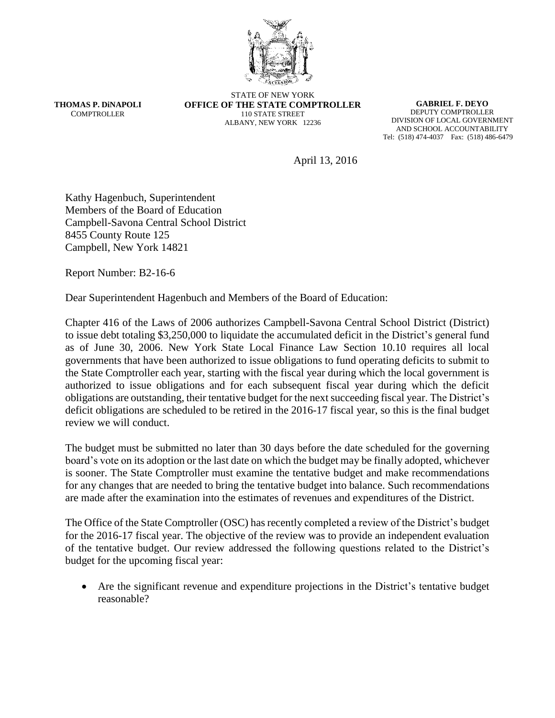

**THOMAS P. DiNAPOLI COMPTROLLER** 

STATE OF NEW YORK **OFFICE OF THE STATE COMPTROLLER** 110 STATE STREET ALBANY, NEW YORK 12236

**GABRIEL F. DEYO** DEPUTY COMPTROLLER DIVISION OF LOCAL GOVERNMENT AND SCHOOL ACCOUNTABILITY Tel: (518) 474-4037 Fax: (518) 486-6479

April 13, 2016

Kathy Hagenbuch, Superintendent Members of the Board of Education Campbell-Savona Central School District 8455 County Route 125 Campbell, New York 14821

Report Number: B2-16-6

Dear Superintendent Hagenbuch and Members of the Board of Education:

Chapter 416 of the Laws of 2006 authorizes Campbell-Savona Central School District (District) to issue debt totaling \$3,250,000 to liquidate the accumulated deficit in the District's general fund as of June 30, 2006. New York State Local Finance Law Section 10.10 requires all local governments that have been authorized to issue obligations to fund operating deficits to submit to the State Comptroller each year, starting with the fiscal year during which the local government is authorized to issue obligations and for each subsequent fiscal year during which the deficit obligations are outstanding, their tentative budget for the next succeeding fiscal year. The District's deficit obligations are scheduled to be retired in the 2016-17 fiscal year, so this is the final budget review we will conduct.

The budget must be submitted no later than 30 days before the date scheduled for the governing board's vote on its adoption or the last date on which the budget may be finally adopted, whichever is sooner. The State Comptroller must examine the tentative budget and make recommendations for any changes that are needed to bring the tentative budget into balance. Such recommendations are made after the examination into the estimates of revenues and expenditures of the District.

The Office of the State Comptroller (OSC) has recently completed a review of the District's budget for the 2016-17 fiscal year. The objective of the review was to provide an independent evaluation of the tentative budget. Our review addressed the following questions related to the District's budget for the upcoming fiscal year:

 Are the significant revenue and expenditure projections in the District's tentative budget reasonable?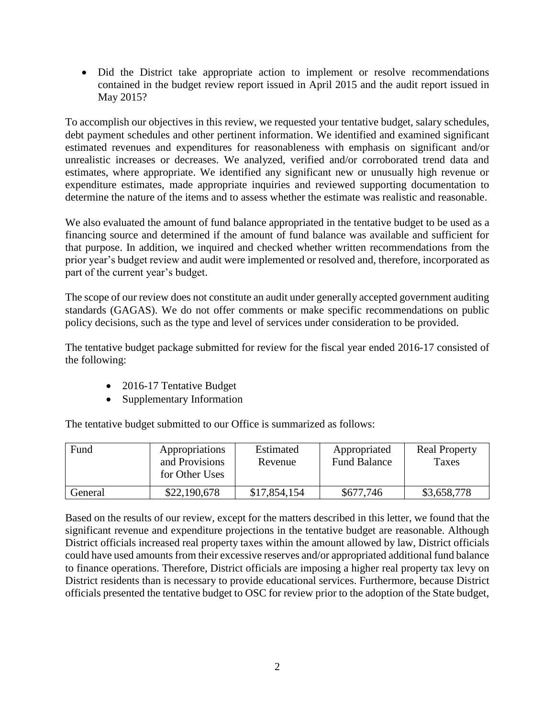Did the District take appropriate action to implement or resolve recommendations contained in the budget review report issued in April 2015 and the audit report issued in May 2015?

To accomplish our objectives in this review, we requested your tentative budget, salary schedules, debt payment schedules and other pertinent information. We identified and examined significant estimated revenues and expenditures for reasonableness with emphasis on significant and/or unrealistic increases or decreases. We analyzed, verified and/or corroborated trend data and estimates, where appropriate. We identified any significant new or unusually high revenue or expenditure estimates, made appropriate inquiries and reviewed supporting documentation to determine the nature of the items and to assess whether the estimate was realistic and reasonable.

We also evaluated the amount of fund balance appropriated in the tentative budget to be used as a financing source and determined if the amount of fund balance was available and sufficient for that purpose. In addition, we inquired and checked whether written recommendations from the prior year's budget review and audit were implemented or resolved and, therefore, incorporated as part of the current year's budget.

The scope of our review does not constitute an audit under generally accepted government auditing standards (GAGAS). We do not offer comments or make specific recommendations on public policy decisions, such as the type and level of services under consideration to be provided.

The tentative budget package submitted for review for the fiscal year ended 2016-17 consisted of the following:

- 2016-17 Tentative Budget
- Supplementary Information

The tentative budget submitted to our Office is summarized as follows:

| Fund    | Appropriations<br>and Provisions<br>for Other Uses | Estimated<br>Revenue | Appropriated<br><b>Fund Balance</b> | <b>Real Property</b><br>Taxes |
|---------|----------------------------------------------------|----------------------|-------------------------------------|-------------------------------|
| General | \$22,190,678                                       | \$17,854,154         | \$677,746                           | \$3,658,778                   |

Based on the results of our review, except for the matters described in this letter, we found that the significant revenue and expenditure projections in the tentative budget are reasonable. Although District officials increased real property taxes within the amount allowed by law, District officials could have used amounts from their excessive reserves and/or appropriated additional fund balance to finance operations. Therefore, District officials are imposing a higher real property tax levy on District residents than is necessary to provide educational services. Furthermore, because District officials presented the tentative budget to OSC for review prior to the adoption of the State budget,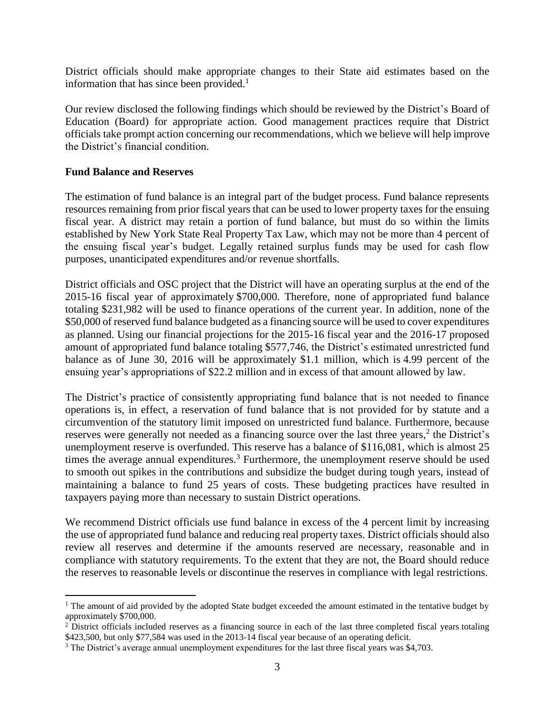District officials should make appropriate changes to their State aid estimates based on the information that has since been provided. $<sup>1</sup>$ </sup>

Our review disclosed the following findings which should be reviewed by the District's Board of Education (Board) for appropriate action. Good management practices require that District officials take prompt action concerning our recommendations, which we believe will help improve the District's financial condition.

## **Fund Balance and Reserves**

 $\overline{a}$ 

The estimation of fund balance is an integral part of the budget process. Fund balance represents resources remaining from prior fiscal years that can be used to lower property taxes for the ensuing fiscal year. A district may retain a portion of fund balance, but must do so within the limits established by New York State Real Property Tax Law, which may not be more than 4 percent of the ensuing fiscal year's budget. Legally retained surplus funds may be used for cash flow purposes, unanticipated expenditures and/or revenue shortfalls.

District officials and OSC project that the District will have an operating surplus at the end of the 2015-16 fiscal year of approximately \$700,000. Therefore, none of appropriated fund balance totaling \$231,982 will be used to finance operations of the current year. In addition, none of the \$50,000 of reserved fund balance budgeted as a financing source will be used to cover expenditures as planned. Using our financial projections for the 2015-16 fiscal year and the 2016-17 proposed amount of appropriated fund balance totaling \$577,746, the District's estimated unrestricted fund balance as of June 30, 2016 will be approximately \$1.1 million, which is 4.99 percent of the ensuing year's appropriations of \$22.2 million and in excess of that amount allowed by law.

The District's practice of consistently appropriating fund balance that is not needed to finance operations is, in effect, a reservation of fund balance that is not provided for by statute and a circumvention of the statutory limit imposed on unrestricted fund balance. Furthermore, because reserves were generally not needed as a financing source over the last three years,<sup>2</sup> the District's unemployment reserve is overfunded. This reserve has a balance of \$116,081, which is almost 25 times the average annual expenditures.<sup>3</sup> Furthermore, the unemployment reserve should be used to smooth out spikes in the contributions and subsidize the budget during tough years, instead of maintaining a balance to fund 25 years of costs. These budgeting practices have resulted in taxpayers paying more than necessary to sustain District operations.

We recommend District officials use fund balance in excess of the 4 percent limit by increasing the use of appropriated fund balance and reducing real property taxes. District officials should also review all reserves and determine if the amounts reserved are necessary, reasonable and in compliance with statutory requirements. To the extent that they are not, the Board should reduce the reserves to reasonable levels or discontinue the reserves in compliance with legal restrictions.

<sup>&</sup>lt;sup>1</sup> The amount of aid provided by the adopted State budget exceeded the amount estimated in the tentative budget by approximately \$700,000.

 $2\text{D}$  District officials included reserves as a financing source in each of the last three completed fiscal years totaling \$423,500, but only \$77,584 was used in the 2013-14 fiscal year because of an operating deficit.

<sup>3</sup> The District's average annual unemployment expenditures for the last three fiscal years was \$4,703.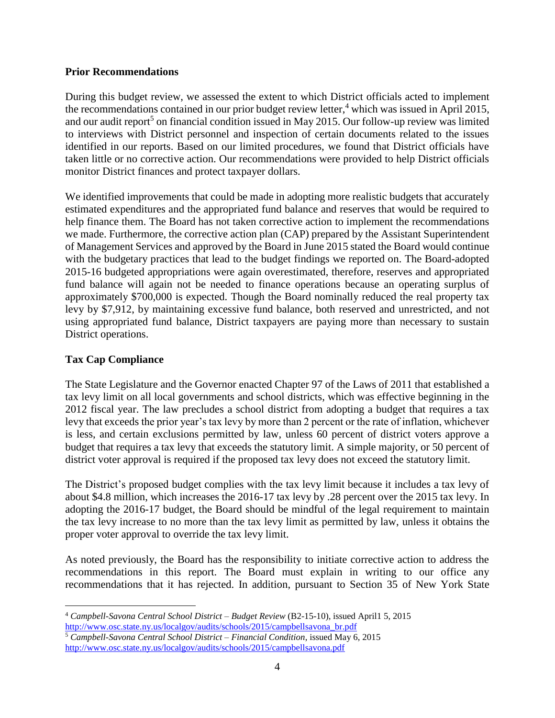## **Prior Recommendations**

During this budget review, we assessed the extent to which District officials acted to implement the recommendations contained in our prior budget review letter, <sup>4</sup> which was issued in April 2015, and our audit report<sup>5</sup> on financial condition issued in May 2015. Our follow-up review was limited to interviews with District personnel and inspection of certain documents related to the issues identified in our reports. Based on our limited procedures, we found that District officials have taken little or no corrective action. Our recommendations were provided to help District officials monitor District finances and protect taxpayer dollars.

We identified improvements that could be made in adopting more realistic budgets that accurately estimated expenditures and the appropriated fund balance and reserves that would be required to help finance them. The Board has not taken corrective action to implement the recommendations we made. Furthermore, the corrective action plan (CAP) prepared by the Assistant Superintendent of Management Services and approved by the Board in June 2015 stated the Board would continue with the budgetary practices that lead to the budget findings we reported on. The Board-adopted 2015-16 budgeted appropriations were again overestimated, therefore, reserves and appropriated fund balance will again not be needed to finance operations because an operating surplus of approximately \$700,000 is expected. Though the Board nominally reduced the real property tax levy by \$7,912, by maintaining excessive fund balance, both reserved and unrestricted, and not using appropriated fund balance, District taxpayers are paying more than necessary to sustain District operations.

## **Tax Cap Compliance**

 $\overline{a}$ 

The State Legislature and the Governor enacted Chapter 97 of the Laws of 2011 that established a tax levy limit on all local governments and school districts, which was effective beginning in the 2012 fiscal year. The law precludes a school district from adopting a budget that requires a tax levy that exceeds the prior year's tax levy by more than 2 percent or the rate of inflation, whichever is less, and certain exclusions permitted by law, unless 60 percent of district voters approve a budget that requires a tax levy that exceeds the statutory limit. A simple majority, or 50 percent of district voter approval is required if the proposed tax levy does not exceed the statutory limit.

The District's proposed budget complies with the tax levy limit because it includes a tax levy of about \$4.8 million, which increases the 2016-17 tax levy by .28 percent over the 2015 tax levy. In adopting the 2016-17 budget, the Board should be mindful of the legal requirement to maintain the tax levy increase to no more than the tax levy limit as permitted by law, unless it obtains the proper voter approval to override the tax levy limit.

As noted previously, the Board has the responsibility to initiate corrective action to address the recommendations in this report. The Board must explain in writing to our office any recommendations that it has rejected. In addition, pursuant to Section 35 of New York State

<sup>4</sup> *Campbell-Savona Central School District – Budget Review* (B2-15-10), issued April1 5, 2015 [http://www.osc.state.ny.us/localgov/audits/schools/2015/campbellsavona\\_br.pdf](http://www.osc.state.ny.us/localgov/audits/schools/2015/campbellsavona_br.pdf)

<sup>5</sup> *Campbell-Savona Central School District – Financial Condition*, issued May 6, 2015 <http://www.osc.state.ny.us/localgov/audits/schools/2015/campbellsavona.pdf>